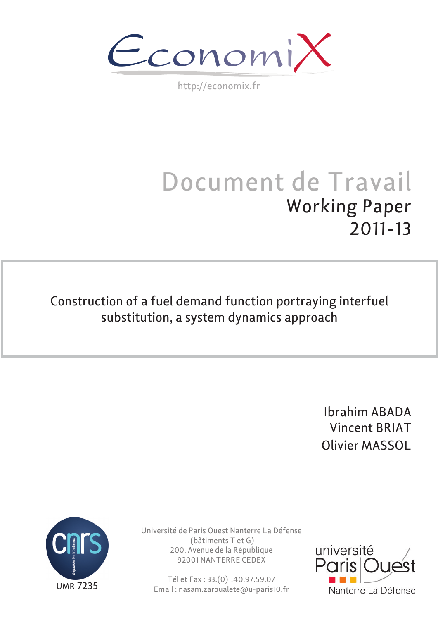$\epsilon$ conomi)

http://economix.fr

# Document de Travail Working Paper 2011-13

Construction of a fuel demand function portraying interfuel substitution, a system dynamics approach

> Ibrahim ABADA Vincent BRIAT Olivier MASSOL



Université de Paris Ouest Nanterre La Défense (bâtiments T et G) 200, Avenue de la République 92001 NANTERRE CEDEX

Tél et Fax : 33.(0)1.40.97.59.07 Email : nasam.zaroualete@u-paris10.fr

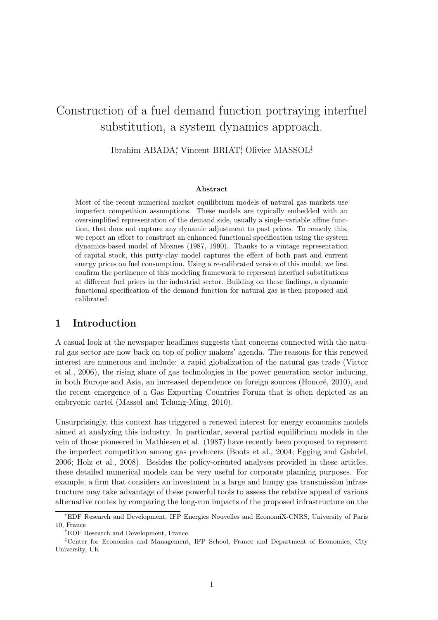# Construction of a fuel demand function portraying interfuel substitution, a system dynamics approach.

Ibrahim ABADA<sup>\*</sup>, Vincent BRIAT<sup>†</sup> Olivier MASSOL<sup>‡</sup>

#### Abstract

Most of the recent numerical market equilibrium models of natural gas markets use imperfect competition assumptions. These models are typically embedded with an oversimplified representation of the demand side, usually a single-variable affine function, that does not capture any dynamic adjustment to past prices. To remedy this, we report an effort to construct an enhanced functional specification using the system dynamics-based model of Moxnes (1987, 1990). Thanks to a vintage representation of capital stock, this putty-clay model captures the effect of both past and current energy prices on fuel consumption. Using a re-calibrated version of this model, we first confirm the pertinence of this modeling framework to represent interfuel substitutions at different fuel prices in the industrial sector. Building on these findings, a dynamic functional specification of the demand function for natural gas is then proposed and calibrated.

## 1 Introduction

A casual look at the newspaper headlines suggests that concerns connected with the natural gas sector are now back on top of policy makers' agenda. The reasons for this renewed interest are numerous and include: a rapid globalization of the natural gas trade (Victor et al., 2006), the rising share of gas technologies in the power generation sector inducing, in both Europe and Asia, an increased dependence on foreign sources (Honoré, 2010), and the recent emergence of a Gas Exporting Countries Forum that is often depicted as an embryonic cartel (Massol and Tchung-Ming, 2010).

Unsurprisingly, this context has triggered a renewed interest for energy economics models aimed at analyzing this industry. In particular, several partial equilibrium models in the vein of those pioneered in Mathiesen et al. (1987) have recently been proposed to represent the imperfect competition among gas producers (Boots et al., 2004; Egging and Gabriel, 2006; Holz et al., 2008). Besides the policy-oriented analyses provided in these articles, these detailed numerical models can be very useful for corporate planning purposes. For example, a firm that considers an investment in a large and lumpy gas transmission infrastructure may take advantage of these powerful tools to assess the relative appeal of various alternative routes by comparing the long-run impacts of the proposed infrastructure on the

<sup>∗</sup>EDF Research and Development, IFP Energies Nouvelles and EconomiX-CNRS, University of Paris 10, France

<sup>†</sup>EDF Research and Development, France

<sup>‡</sup>Center for Economics and Management, IFP School, France and Department of Economics, City University, UK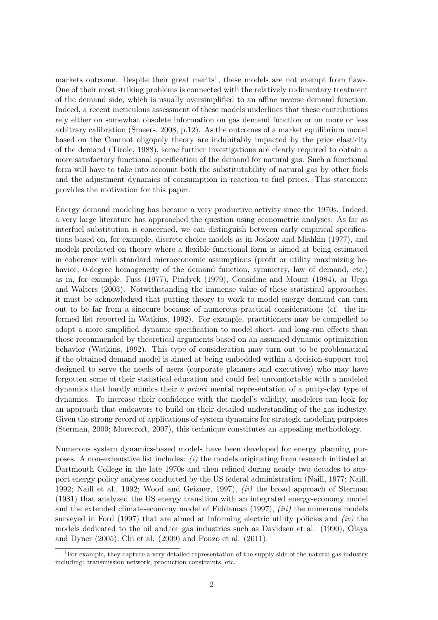markets outcome. Despite their great merits<sup>1</sup>, these models are not exempt from flaws. One of their most striking problems is connected with the relatively rudimentary treatment of the demand side, which is usually oversimplified to an affine inverse demand function. Indeed, a recent meticulous assessment of these models underlines that these contributions rely either on somewhat obsolete information on gas demand function or on more or less arbitrary calibration (Smeers, 2008, p.12). As the outcomes of a market equilibrium model based on the Cournot oligopoly theory are indubitably impacted by the price elasticity of the demand (Tirole, 1988), some further investigations are clearly required to obtain a more satisfactory functional specification of the demand for natural gas. Such a functional form will have to take into account both the substitutability of natural gas by other fuels and the adjustment dynamics of consumption in reaction to fuel prices. This statement provides the motivation for this paper.

Energy demand modeling has become a very productive activity since the 1970s. Indeed, a very large literature has approached the question using econometric analyses. As far as interfuel substitution is concerned, we can distinguish between early empirical specifications based on, for example, discrete choice models as in Joskow and Mishkin (1977), and models predicted on theory where a flexible functional form is aimed at being estimated in coherence with standard microeconomic assumptions (profit or utility maximizing behavior, 0-degree homogeneity of the demand function, symmetry, law of demand, etc.) as in, for example, Fuss (1977), Pindyck (1979), Considine and Mount (1984), or Urga and Walters (2003). Notwithstanding the immense value of these statistical approaches, it must be acknowledged that putting theory to work to model energy demand can turn out to be far from a sinecure because of numerous practical considerations (cf. the informed list reported in Watkins, 1992). For example, practitioners may be compelled to adopt a more simplified dynamic specification to model short- and long-run effects than those recommended by theoretical arguments based on an assumed dynamic optimization behavior (Watkins, 1992). This type of consideration may turn out to be problematical if the obtained demand model is aimed at being embedded within a decision-support tool designed to serve the needs of users (corporate planners and executives) who may have forgotten some of their statistical education and could feel uncomfortable with a modeled dynamics that hardly mimics their a priori mental representation of a putty-clay type of dynamics. To increase their confidence with the model's validity, modelers can look for an approach that endeavors to build on their detailed understanding of the gas industry. Given the strong record of applications of system dynamics for strategic modeling purposes (Sterman, 2000; Morecroft, 2007), this technique constitutes an appealing methodology.

Numerous system dynamics-based models have been developed for energy planning purposes. A non-exhaustive list includes:  $(i)$  the models originating from research initiated at Dartmouth College in the late 1970s and then refined during nearly two decades to support energy policy analyses conducted by the US federal administration (Naill, 1977; Naill, 1992; Naill et al., 1992; Wood and Geizner, 1997), (ii) the broad approach of Sterman (1981) that analyzed the US energy transition with an integrated energy-economy model and the extended climate-economy model of Fiddaman  $(1997)$ ,  $(iii)$  the numerous models surveyed in Ford (1997) that are aimed at informing electric utility policies and  $(iv)$  the models dedicated to the oil and/or gas industries such as Davidsen et al. (1990), Olaya and Dyner (2005), Chi et al. (2009) and Ponzo et al. (2011).

<sup>&</sup>lt;sup>1</sup>For example, they capture a very detailed representation of the supply side of the natural gas industry including: transmission network, production constraints, etc.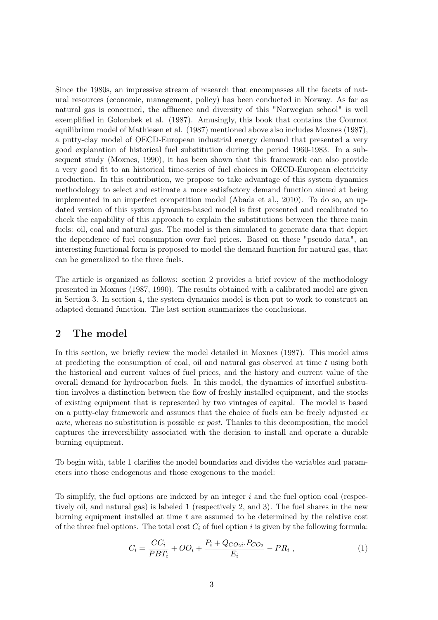Since the 1980s, an impressive stream of research that encompasses all the facets of natural resources (economic, management, policy) has been conducted in Norway. As far as natural gas is concerned, the affluence and diversity of this "Norwegian school" is well exemplified in Golombek et al. (1987). Amusingly, this book that contains the Cournot equilibrium model of Mathiesen et al. (1987) mentioned above also includes Moxnes (1987), a putty-clay model of OECD-European industrial energy demand that presented a very good explanation of historical fuel substitution during the period 1960-1983. In a subsequent study (Moxnes, 1990), it has been shown that this framework can also provide a very good fit to an historical time-series of fuel choices in OECD-European electricity production. In this contribution, we propose to take advantage of this system dynamics methodology to select and estimate a more satisfactory demand function aimed at being implemented in an imperfect competition model (Abada et al., 2010). To do so, an updated version of this system dynamics-based model is first presented and recalibrated to check the capability of this approach to explain the substitutions between the three main fuels: oil, coal and natural gas. The model is then simulated to generate data that depict the dependence of fuel consumption over fuel prices. Based on these "pseudo data", an interesting functional form is proposed to model the demand function for natural gas, that can be generalized to the three fuels.

The article is organized as follows: section 2 provides a brief review of the methodology presented in Moxnes (1987, 1990). The results obtained with a calibrated model are given in Section 3. In section 4, the system dynamics model is then put to work to construct an adapted demand function. The last section summarizes the conclusions.

# 2 The model

In this section, we briefly review the model detailed in Moxnes (1987). This model aims at predicting the consumption of coal, oil and natural gas observed at time  $t$  using both the historical and current values of fuel prices, and the history and current value of the overall demand for hydrocarbon fuels. In this model, the dynamics of interfuel substitution involves a distinction between the flow of freshly installed equipment, and the stocks of existing equipment that is represented by two vintages of capital. The model is based on a putty-clay framework and assumes that the choice of fuels can be freely adjusted ex ante, whereas no substitution is possible ex post. Thanks to this decomposition, the model captures the irreversibility associated with the decision to install and operate a durable burning equipment.

To begin with, table 1 clarifies the model boundaries and divides the variables and parameters into those endogenous and those exogenous to the model:

To simplify, the fuel options are indexed by an integer  $i$  and the fuel option coal (respectively oil, and natural gas) is labeled 1 (respectively 2, and 3). The fuel shares in the new burning equipment installed at time  $t$  are assumed to be determined by the relative cost of the three fuel options. The total cost  $C_i$  of fuel option i is given by the following formula:

$$
C_i = \frac{CC_i}{PBT_i} + OO_i + \frac{P_i + Q_{CO_2i} \cdot P_{CO_2}}{E_i} - PR_i ,
$$
 (1)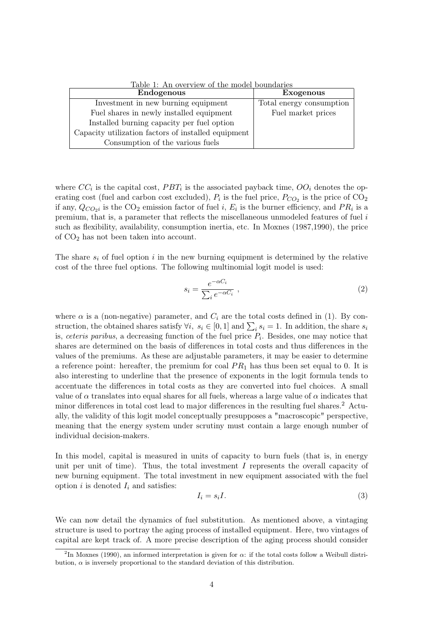| Endogenous                                          | <b>Exogenous</b>         |
|-----------------------------------------------------|--------------------------|
| Investment in new burning equipment                 | Total energy consumption |
| Fuel shares in newly installed equipment            | Fuel market prices       |
| Installed burning capacity per fuel option          |                          |
| Capacity utilization factors of installed equipment |                          |
| Consumption of the various fuels                    |                          |

Table 1: An overview of the model boundaries

where  $CC_i$  is the capital cost,  $PBT_i$  is the associated payback time,  $OO_i$  denotes the operating cost (fuel and carbon cost excluded),  $P_i$  is the fuel price,  $P_{CO_2}$  is the price of  $CO_2$ if any,  $Q_{CO_2}$  is the CO<sub>2</sub> emission factor of fuel *i*,  $E_i$  is the burner efficiency, and  $PR_i$  is a premium, that is, a parameter that reflects the miscellaneous unmodeled features of fuel i such as flexibility, availability, consumption inertia, etc. In Moxnes (1987,1990), the price of CO<sup>2</sup> has not been taken into account.

The share  $s_i$  of fuel option i in the new burning equipment is determined by the relative cost of the three fuel options. The following multinomial logit model is used:

$$
s_i = \frac{e^{-\alpha C_i}}{\sum_i e^{-\alpha C_i}} \tag{2}
$$

where  $\alpha$  is a (non-negative) parameter, and  $C_i$  are the total costs defined in (1). By construction, the obtained shares satisfy  $\forall i, s_i \in [0, 1]$  and  $\sum_i s_i = 1$ . In addition, the share  $s_i$ is, *ceteris paribus*, a decreasing function of the fuel price  $P_i$ . Besides, one may notice that shares are determined on the basis of differences in total costs and thus differences in the values of the premiums. As these are adjustable parameters, it may be easier to determine a reference point: hereafter, the premium for coal  $PR_1$  has thus been set equal to 0. It is also interesting to underline that the presence of exponents in the logit formula tends to accentuate the differences in total costs as they are converted into fuel choices. A small value of  $\alpha$  translates into equal shares for all fuels, whereas a large value of  $\alpha$  indicates that minor differences in total cost lead to major differences in the resulting fuel shares.<sup>2</sup> Actually, the validity of this logit model conceptually presupposes a "macroscopic" perspective, meaning that the energy system under scrutiny must contain a large enough number of individual decision-makers.

In this model, capital is measured in units of capacity to burn fuels (that is, in energy unit per unit of time). Thus, the total investment  $I$  represents the overall capacity of new burning equipment. The total investment in new equipment associated with the fuel option  $i$  is denoted  $I_i$  and satisfies:

$$
I_i = s_i I. \tag{3}
$$

We can now detail the dynamics of fuel substitution. As mentioned above, a vintaging structure is used to portray the aging process of installed equipment. Here, two vintages of capital are kept track of. A more precise description of the aging process should consider

<sup>&</sup>lt;sup>2</sup>In Moxnes (1990), an informed interpretation is given for  $\alpha$ : if the total costs follow a Weibull distribution,  $\alpha$  is inversely proportional to the standard deviation of this distribution.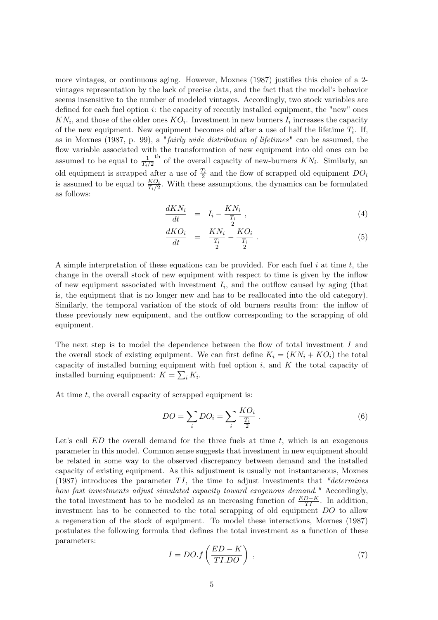more vintages, or continuous aging. However, Moxnes (1987) justifies this choice of a 2 vintages representation by the lack of precise data, and the fact that the model's behavior seems insensitive to the number of modeled vintages. Accordingly, two stock variables are defined for each fuel option  $i$ : the capacity of recently installed equipment, the "new" ones  $KN_i$ , and those of the older ones  $KO_i$ . Investment in new burners  $I_i$  increases the capacity of the new equipment. New equipment becomes old after a use of half the lifetime  $T_i$ . If, as in Moxnes (1987, p. 99), a "fairly wide distribution of lifetimes" can be assumed, the flow variable associated with the transformation of new equipment into old ones can be assumed to be equal to  $\frac{1}{T_i/2}$ <sup>th</sup> of the overall capacity of new-burners  $KN_i$ . Similarly, an old equipment is scrapped after a use of  $\frac{T_i}{2}$  and the flow of scrapped old equipment  $DO_i$ is assumed to be equal to  $\frac{KO_i}{T_i/2}$ . With these assumptions, the dynamics can be formulated as follows:

$$
\frac{dKN_i}{dt} = I_i - \frac{KN_i}{\frac{T_i}{2}},\tag{4}
$$

$$
\frac{dKO_i}{dt} = \frac{KN_i}{\frac{T_i}{2}} - \frac{KO_i}{\frac{T_i}{2}}.
$$
\n
$$
(5)
$$

A simple interpretation of these equations can be provided. For each fuel  $i$  at time  $t$ , the change in the overall stock of new equipment with respect to time is given by the inflow of new equipment associated with investment  $I_i$ , and the outflow caused by aging (that is, the equipment that is no longer new and has to be reallocated into the old category). Similarly, the temporal variation of the stock of old burners results from: the inflow of these previously new equipment, and the outflow corresponding to the scrapping of old equipment.

The next step is to model the dependence between the flow of total investment I and the overall stock of existing equipment. We can first define  $K_i = (KN_i + KO_i)$  the total capacity of installed burning equipment with fuel option  $i$ , and  $K$  the total capacity of installed burning equipment:  $K = \sum_i K_i$ .

At time  $t$ , the overall capacity of scrapped equipment is:

$$
DO = \sum_{i} DO_i = \sum_{i} \frac{KO_i}{\frac{T_i}{2}} \tag{6}
$$

Let's call  $ED$  the overall demand for the three fuels at time  $t$ , which is an exogenous parameter in this model. Common sense suggests that investment in new equipment should be related in some way to the observed discrepancy between demand and the installed capacity of existing equipment. As this adjustment is usually not instantaneous, Moxnes (1987) introduces the parameter TI, the time to adjust investments that "determines" how fast investments adjust simulated capacity toward exogenous demand." Accordingly, the total investment has to be modeled as an increasing function of  $\frac{ED-K}{TI}$ . In addition, investment has to be connected to the total scrapping of old equipment DO to allow a regeneration of the stock of equipment. To model these interactions, Moxnes (1987) postulates the following formula that defines the total investment as a function of these parameters:

$$
I = DO.f\left(\frac{ED - K}{T I.DO}\right) \,,\tag{7}
$$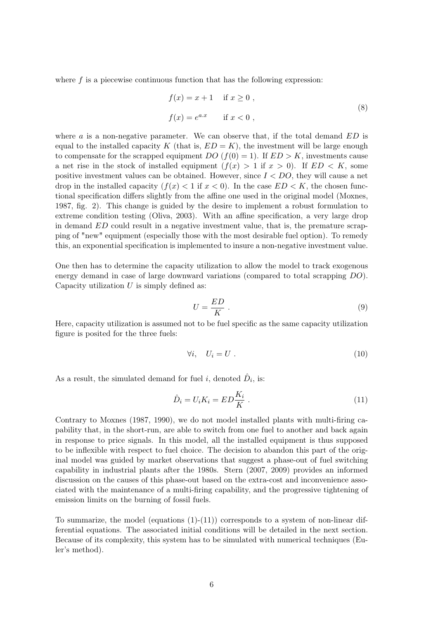where  $f$  is a piecewise continuous function that has the following expression:

$$
f(x) = x + 1 \quad \text{if } x \ge 0,
$$
  

$$
f(x) = e^{a \cdot x} \quad \text{if } x < 0,
$$
 (8)

where  $\alpha$  is a non-negative parameter. We can observe that, if the total demand  $ED$  is equal to the installed capacity K (that is,  $ED = K$ ), the investment will be large enough to compensate for the scrapped equipment  $DO(f(0) = 1)$ . If  $ED > K$ , investments cause a net rise in the stock of installed equipment  $(f(x) > 1$  if  $x > 0$ ). If  $ED < K$ , some positive investment values can be obtained. However, since  $I < DO$ , they will cause a net drop in the installed capacity  $(f(x) < 1$  if  $x < 0)$ . In the case  $ED < K$ , the chosen functional specification differs slightly from the affine one used in the original model (Moxnes, 1987, fig. 2). This change is guided by the desire to implement a robust formulation to extreme condition testing (Oliva, 2003). With an affine specification, a very large drop in demand ED could result in a negative investment value, that is, the premature scrapping of "new" equipment (especially those with the most desirable fuel option). To remedy this, an exponential specification is implemented to insure a non-negative investment value.

One then has to determine the capacity utilization to allow the model to track exogenous energy demand in case of large downward variations (compared to total scrapping DO). Capacity utilization  $U$  is simply defined as:

$$
U = \frac{ED}{K} \tag{9}
$$

Here, capacity utilization is assumed not to be fuel specific as the same capacity utilization figure is posited for the three fuels:

$$
\forall i, \quad U_i = U \tag{10}
$$

As a result, the simulated demand for fuel *i*, denoted  $\hat{D}_i$ , is:

$$
\hat{D}_i = U_i K_i = ED\frac{K_i}{K} . \tag{11}
$$

Contrary to Moxnes (1987, 1990), we do not model installed plants with multi-firing capability that, in the short-run, are able to switch from one fuel to another and back again in response to price signals. In this model, all the installed equipment is thus supposed to be inflexible with respect to fuel choice. The decision to abandon this part of the original model was guided by market observations that suggest a phase-out of fuel switching capability in industrial plants after the 1980s. Stern (2007, 2009) provides an informed discussion on the causes of this phase-out based on the extra-cost and inconvenience associated with the maintenance of a multi-firing capability, and the progressive tightening of emission limits on the burning of fossil fuels.

To summarize, the model (equations  $(1)-(11)$ ) corresponds to a system of non-linear differential equations. The associated initial conditions will be detailed in the next section. Because of its complexity, this system has to be simulated with numerical techniques (Euler's method).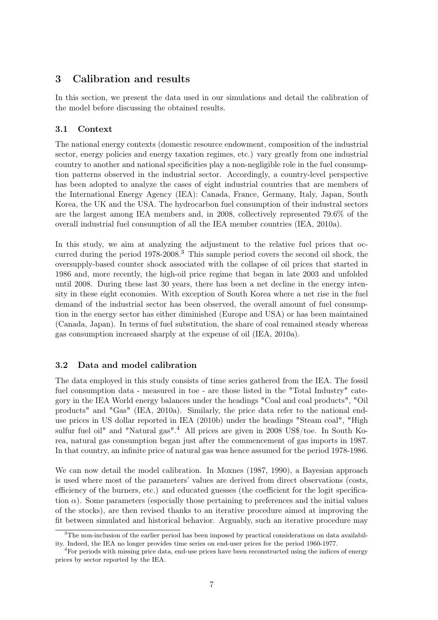# 3 Calibration and results

In this section, we present the data used in our simulations and detail the calibration of the model before discussing the obtained results.

# 3.1 Context

The national energy contexts (domestic resource endowment, composition of the industrial sector, energy policies and energy taxation regimes, etc.) vary greatly from one industrial country to another and national specificities play a non-negligible role in the fuel consumption patterns observed in the industrial sector. Accordingly, a country-level perspective has been adopted to analyze the cases of eight industrial countries that are members of the International Energy Agency (IEA): Canada, France, Germany, Italy, Japan, South Korea, the UK and the USA. The hydrocarbon fuel consumption of their industral sectors are the largest among IEA members and, in 2008, collectively represented 79.6% of the overall industrial fuel consumption of all the IEA member countries (IEA, 2010a).

In this study, we aim at analyzing the adjustment to the relative fuel prices that occurred during the period 1978-2008.<sup>3</sup> This sample period covers the second oil shock, the oversupply-based counter shock associated with the collapse of oil prices that started in 1986 and, more recently, the high-oil price regime that began in late 2003 and unfolded until 2008. During these last 30 years, there has been a net decline in the energy intensity in these eight economies. With exception of South Korea where a net rise in the fuel demand of the industrial sector has been observed, the overall amount of fuel consumption in the energy sector has either diminished (Europe and USA) or has been maintained (Canada, Japan). In terms of fuel substitution, the share of coal remained steady whereas gas consumption increased sharply at the expense of oil (IEA, 2010a).

## 3.2 Data and model calibration

The data employed in this study consists of time series gathered from the IEA. The fossil fuel consumption data - measured in toe - are those listed in the "Total Industry" category in the IEA World energy balances under the headings "Coal and coal products", "Oil products" and "Gas" (IEA, 2010a). Similarly, the price data refer to the national enduse prices in US dollar reported in IEA (2010b) under the headings "Steam coal", "High sulfur fuel oil" and "Natural gas".<sup>4</sup> All prices are given in 2008 US\$/toe. In South Korea, natural gas consumption began just after the commencement of gas imports in 1987. In that country, an infinite price of natural gas was hence assumed for the period 1978-1986.

We can now detail the model calibration. In Moxnes (1987, 1990), a Bayesian approach is used where most of the parameters' values are derived from direct observations (costs, efficiency of the burners, etc.) and educated guesses (the coefficient for the logit specification  $\alpha$ ). Some parameters (especially those pertaining to preferences and the initial values of the stocks), are then revised thanks to an iterative procedure aimed at improving the fit between simulated and historical behavior. Arguably, such an iterative procedure may

<sup>&</sup>lt;sup>3</sup>The non-inclusion of the earlier period has been imposed by practical considerations on data availability. Indeed, the IEA no longer provides time series on end-user prices for the period 1960-1977.

<sup>&</sup>lt;sup>4</sup>For periods with missing price data, end-use prices have been reconstructed using the indices of energy prices by sector reported by the IEA.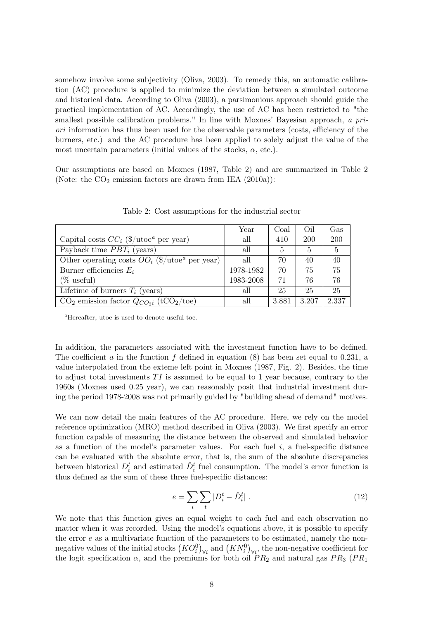somehow involve some subjectivity (Oliva, 2003). To remedy this, an automatic calibration (AC) procedure is applied to minimize the deviation between a simulated outcome and historical data. According to Oliva (2003), a parsimonious approach should guide the practical implementation of AC. Accordingly, the use of AC has been restricted to "the smallest possible calibration problems." In line with Moxnes' Bayesian approach, a priori information has thus been used for the observable parameters (costs, efficiency of the burners, etc.) and the AC procedure has been applied to solely adjust the value of the most uncertain parameters (initial values of the stocks,  $\alpha$ , etc.).

Our assumptions are based on Moxnes (1987, Table 2) and are summarized in Table 2 (Note: the  $CO<sub>2</sub>$  emission factors are drawn from IEA (2010a)):

|                                                                     | Year      | Coal  | Oil   | Gas        |
|---------------------------------------------------------------------|-----------|-------|-------|------------|
| Capital costs $CC_i$ (\$/utoe <sup><i>a</i></sup> per year)         | all       | 410   | 200   | <b>200</b> |
| Payback time $PBT_i$ (years)                                        | all       | 5     | 5     | 5          |
| Other operating costs $OO_i$ (\$/utoe <sup><i>a</i></sup> per year) | all       | 70    | 40    | 40         |
| Burner efficiencies $E_i$                                           | 1978-1982 | 70    | 75    | 75         |
| $(\%$ useful)                                                       | 1983-2008 | 71    | 76    | 76         |
| Lifetime of burners $T_i$ (years)                                   | all       | 25    | 25    | 25         |
| $CO2$ emission factor $Q_{CO2i}$ (tCO <sub>2</sub> /toe)            | all       | 3.881 | 3.207 | 2.337      |

Table 2: Cost assumptions for the industrial sector

<sup>a</sup>Hereafter, utoe is used to denote useful toe.

In addition, the parameters associated with the investment function have to be defined. The coefficient  $\alpha$  in the function  $f$  defined in equation (8) has been set equal to 0.231, a value interpolated from the exteme left point in Moxnes (1987, Fig. 2). Besides, the time to adjust total investments  $TI$  is assumed to be equal to 1 year because, contrary to the 1960s (Moxnes used 0.25 year), we can reasonably posit that industrial investment during the period 1978-2008 was not primarily guided by "building ahead of demand" motives.

We can now detail the main features of the AC procedure. Here, we rely on the model reference optimization (MRO) method described in Oliva (2003). We first specify an error function capable of measuring the distance between the observed and simulated behavior as a function of the model's parameter values. For each fuel  $i$ , a fuel-specific distance can be evaluated with the absolute error, that is, the sum of the absolute discrepancies between historical  $D_i^t$  and estimated  $\hat{D}_i^t$  fuel consumption. The model's error function is thus defined as the sum of these three fuel-specific distances:

$$
e = \sum_{i} \sum_{t} |D_i^t - \hat{D}_i^t| \tag{12}
$$

We note that this function gives an equal weight to each fuel and each observation no matter when it was recorded. Using the model's equations above, it is possible to specify the error  $e$  as a multivariate function of the parameters to be estimated, namely the nonnegative values of the initial stocks  $(KO_i^0)_{\forall i}$  and  $(KN_i^0)_{\forall i}$ , the non-negative coefficient for the logit specification  $\alpha$ , and the premiums for both oil  $PR_2$  and natural gas  $PR_3$  ( $PR_1$ )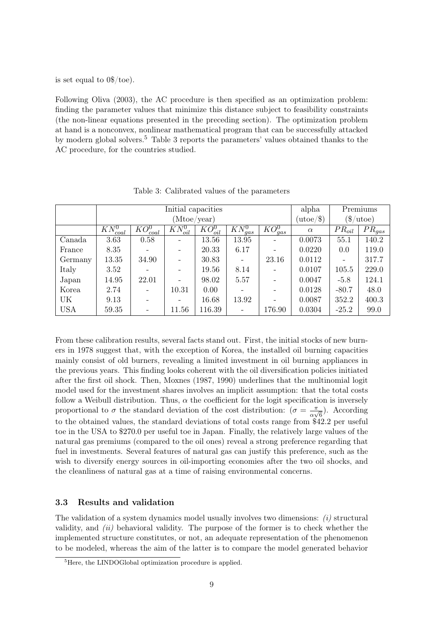is set equal to 0\$/toe).

Following Oliva (2003), the AC procedure is then specified as an optimization problem: finding the parameter values that minimize this distance subject to feasibility constraints (the non-linear equations presented in the preceding section). The optimization problem at hand is a nonconvex, nonlinear mathematical program that can be successfully attacked by modern global solvers.<sup>5</sup> Table 3 reports the parameters' values obtained thanks to the AC procedure, for the countries studied.

|            |               |                          | Initial capacities |              |                         |              | alpha              |                          | Premiums                            |
|------------|---------------|--------------------------|--------------------|--------------|-------------------------|--------------|--------------------|--------------------------|-------------------------------------|
|            |               |                          | (Mtoe/year)        |              |                         |              | $(\text{utoe}/\$)$ |                          | $\frac{\text{Im}(1)}{\text{Im}(1)}$ |
|            | $KN_{coal}^0$ | $KO_{coal}^0$            | $KN_{oil}^0$       | $KO_{oil}^0$ | $\overline{KN_{gas}^0}$ | $KO_{gas}^0$ | $\alpha$           | $PR_{oil}$               | $PR_{gas}$                          |
| Canada     | 3.63          | 0.58                     |                    | 13.56        | 13.95                   |              | 0.0073             | 55.1                     | 140.2                               |
| France     | 8.35          |                          |                    | 20.33        | 6.17                    |              | 0.0220             | 0.0                      | 119.0                               |
| Germany    | 13.35         | 34.90                    |                    | 30.83        |                         | 23.16        | 0.0112             | $\overline{\phantom{a}}$ | 317.7                               |
| Italy      | 3.52          |                          |                    | 19.56        | 8.14                    |              | 0.0107             | 105.5                    | 229.0                               |
| Japan      | 14.95         | 22.01                    |                    | 98.02        | 5.57                    |              | 0.0047             | $-5.8$                   | 124.1                               |
| Korea      | 2.74          | $\overline{\phantom{a}}$ | 10.31              | 0.00         |                         |              | 0.0128             | $-80.7$                  | 48.0                                |
| UK         | 9.13          | -                        |                    | 16.68        | 13.92                   |              | 0.0087             | 352.2                    | 400.3                               |
| <b>USA</b> | 59.35         | $\overline{\phantom{a}}$ | 11.56              | 116.39       |                         | 176.90       | 0.0304             | $-25.2$                  | 99.0                                |

Table 3: Calibrated values of the parameters

From these calibration results, several facts stand out. First, the initial stocks of new burners in 1978 suggest that, with the exception of Korea, the installed oil burning capacities mainly consist of old burners, revealing a limited investment in oil burning appliances in the previous years. This finding looks coherent with the oil diversification policies initiated after the first oil shock. Then, Moxnes (1987, 1990) underlines that the multinomial logit model used for the investment shares involves an implicit assumption: that the total costs follow a Weibull distribution. Thus,  $\alpha$  the coefficient for the logit specification is inversely proportional to  $\sigma$  the standard deviation of the cost distribution:  $(\sigma = \frac{\pi}{\sigma})$  $\frac{\pi}{\alpha\sqrt{6}}$ ). According to the obtained values, the standard deviations of total costs range from \$42.2 per useful toe in the USA to \$270.0 per useful toe in Japan. Finally, the relatively large values of the natural gas premiums (compared to the oil ones) reveal a strong preference regarding that fuel in investments. Several features of natural gas can justify this preference, such as the wish to diversify energy sources in oil-importing economies after the two oil shocks, and the cleanliness of natural gas at a time of raising environmental concerns.

#### 3.3 Results and validation

The validation of a system dynamics model usually involves two dimensions:  $(i)$  structural validity, and  $(ii)$  behavioral validity. The purpose of the former is to check whether the implemented structure constitutes, or not, an adequate representation of the phenomenon to be modeled, whereas the aim of the latter is to compare the model generated behavior

<sup>&</sup>lt;sup>5</sup>Here, the LINDOGlobal optimization procedure is applied.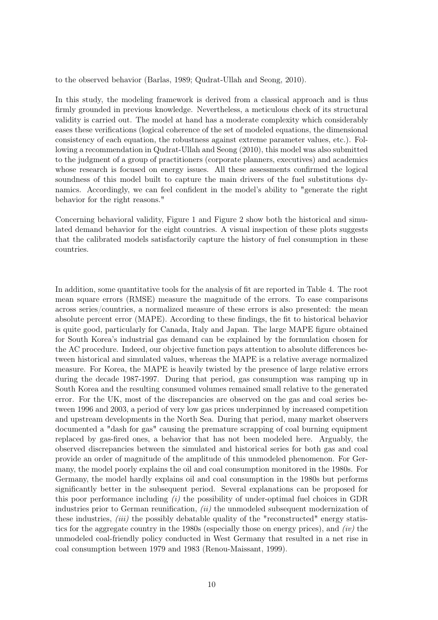to the observed behavior (Barlas, 1989; Qudrat-Ullah and Seong, 2010).

In this study, the modeling framework is derived from a classical approach and is thus firmly grounded in previous knowledge. Nevertheless, a meticulous check of its structural validity is carried out. The model at hand has a moderate complexity which considerably eases these verifications (logical coherence of the set of modeled equations, the dimensional consistency of each equation, the robustness against extreme parameter values, etc.). Following a recommendation in Qudrat-Ullah and Seong (2010), this model was also submitted to the judgment of a group of practitioners (corporate planners, executives) and academics whose research is focused on energy issues. All these assessments confirmed the logical soundness of this model built to capture the main drivers of the fuel substitutions dynamics. Accordingly, we can feel confident in the model's ability to "generate the right behavior for the right reasons."

Concerning behavioral validity, Figure 1 and Figure 2 show both the historical and simulated demand behavior for the eight countries. A visual inspection of these plots suggests that the calibrated models satisfactorily capture the history of fuel consumption in these countries.

In addition, some quantitative tools for the analysis of fit are reported in Table 4. The root mean square errors (RMSE) measure the magnitude of the errors. To ease comparisons across series/countries, a normalized measure of these errors is also presented: the mean absolute percent error (MAPE). According to these findings, the fit to historical behavior is quite good, particularly for Canada, Italy and Japan. The large MAPE figure obtained for South Korea's industrial gas demand can be explained by the formulation chosen for the AC procedure. Indeed, our objective function pays attention to absolute differences between historical and simulated values, whereas the MAPE is a relative average normalized measure. For Korea, the MAPE is heavily twisted by the presence of large relative errors during the decade 1987-1997. During that period, gas consumption was ramping up in South Korea and the resulting consumed volumes remained small relative to the generated error. For the UK, most of the discrepancies are observed on the gas and coal series between 1996 and 2003, a period of very low gas prices underpinned by increased competition and upstream developments in the North Sea. During that period, many market observers documented a "dash for gas" causing the premature scrapping of coal burning equipment replaced by gas-fired ones, a behavior that has not been modeled here. Arguably, the observed discrepancies between the simulated and historical series for both gas and coal provide an order of magnitude of the amplitude of this unmodeled phenomenon. For Germany, the model poorly explains the oil and coal consumption monitored in the 1980s. For Germany, the model hardly explains oil and coal consumption in the 1980s but performs significantly better in the subsequent period. Several explanations can be proposed for this poor performance including  $(i)$  the possibility of under-optimal fuel choices in GDR industries prior to German reunification,  $(ii)$  the unmodeled subsequent modernization of these industries,  $(iii)$  the possibly debatable quality of the "reconstructed" energy statistics for the aggregate country in the 1980s (especially those on energy prices), and  $(iv)$  the unmodeled coal-friendly policy conducted in West Germany that resulted in a net rise in coal consumption between 1979 and 1983 (Renou-Maissant, 1999).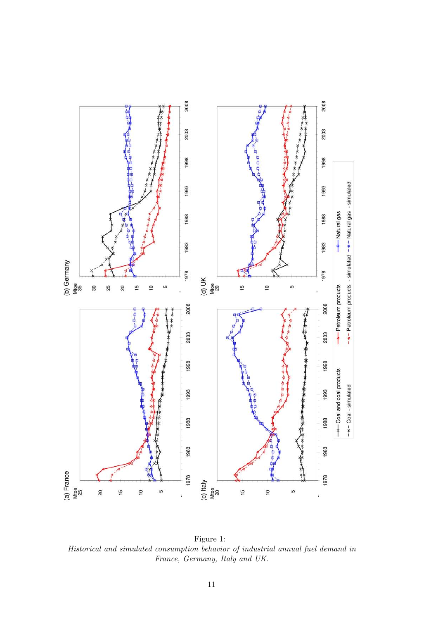

Figure 1: Historical and simulated consumption behavior of industrial annual fuel demand in France, Germany, Italy and UK.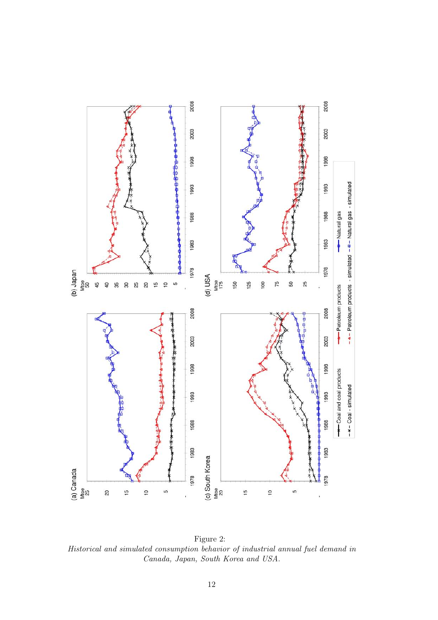

Figure 2: Historical and simulated consumption behavior of industrial annual fuel demand in Canada, Japan, South Korea and USA.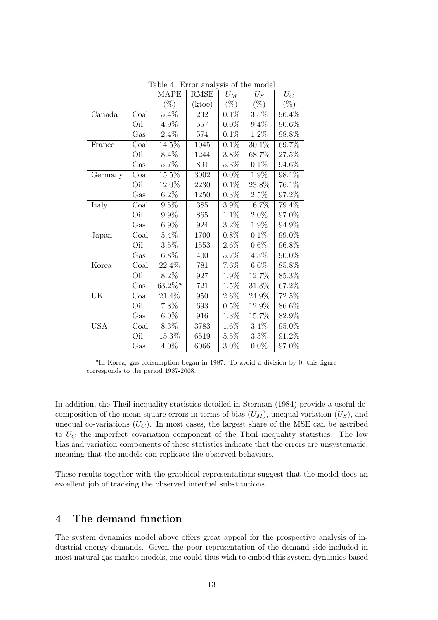|            |      | <b>MAPE</b>           | <b>RMSE</b> | $U_M$   | $U_S$   | $U_C$    |
|------------|------|-----------------------|-------------|---------|---------|----------|
|            |      | $(\%)$                | (ktoe)      | $(\%)$  | $(\%)$  | $(\%)$   |
| Canada     | Coal | 5.4%                  | 232         | 0.1%    | 3.5%    | 96.4%    |
|            | Oil  | 4.9%                  | 557         | $0.0\%$ | $9.4\%$ | 90.6%    |
|            | Gas  | 2.4%                  | 574         | 0.1%    | 1.2%    | 98.8%    |
| France     | Coal | 14.5%                 | 1045        | 0.1%    | 30.1%   | 69.7%    |
|            | Oil  | 8.4%                  | 1244        | 3.8%    | 68.7%   | $27.5\%$ |
|            | Gas  | 5.7%                  | 891         | 5.3%    | 0.1%    | 94.6%    |
| Germany    | Coal | 15.5%                 | 3002        | $0.0\%$ | 1.9%    | 98.1%    |
|            | Oil  | 12.0%                 | 2230        | 0.1%    | 23.8%   | 76.1%    |
|            | Gas  | $6.2\%$               | 1250        | $0.3\%$ | $2.5\%$ | 97.2%    |
| Italy      | Coal | 9.5%                  | 385         | 3.9%    | 16.7%   | 79.4%    |
|            | Oil  | 9.9%                  | 865         | 1.1%    | 2.0%    | 97.0%    |
|            | Gas  | $6.9\%$               | 924         | 3.2%    | 1.9%    | 94.9%    |
| Japan      | Coal | 5.4%                  | 1700        | 0.8%    | $0.1\%$ | 99.0%    |
|            | Oil  | 3.5%                  | 1553        | $2.6\%$ | 0.6%    | 96.8%    |
|            | Gas  | $6.8\%$               | 400         | $5.7\%$ | $4.3\%$ | $90.0\%$ |
| Korea      | Coal | 22.4%                 | 781         | 7.6%    | $6.6\%$ | 85.8%    |
|            | Oil  | 8.2%                  | 927         | 1.9%    | 12.7%   | 85.3%    |
|            | Gas  | $63.2\%$ <sup>a</sup> | 721         | 1.5%    | 31.3%   | 67.2%    |
| UK         | Coal | 21.4%                 | 950         | $2.6\%$ | 24.9%   | 72.5%    |
|            | Oil  | 7.8%                  | 693         | 0.5%    | 12.9%   | 86.6%    |
|            | Gas  | $6.0\%$               | 916         | $1.3\%$ | 15.7%   | 82.9%    |
| <b>USA</b> | Coal | 8.3%                  | 3783        | 1.6%    | 3.4%    | 95.0%    |
|            | Oil  | 15.3%                 | 6519        | $5.5\%$ | $3.3\%$ | 91.2%    |
|            | Gas  | 4.0%                  | 6066        | $3.0\%$ | $0.0\%$ | $97.0\%$ |

Table 4: Error analysis of the model

In addition, the Theil inequality statistics detailed in Sterman (1984) provide a useful decomposition of the mean square errors in terms of bias  $(U_M)$ , unequal variation  $(U_S)$ , and unequal co-variations  $(U_C)$ . In most cases, the largest share of the MSE can be ascribed to  $U_C$  the imperfect covariation component of the Theil inequality statistics. The low bias and variation components of these statistics indicate that the errors are unsystematic, meaning that the models can replicate the observed behaviors.

These results together with the graphical representations suggest that the model does an excellent job of tracking the observed interfuel substitutions.

# 4 The demand function

The system dynamics model above offers great appeal for the prospective analysis of industrial energy demands. Given the poor representation of the demand side included in most natural gas market models, one could thus wish to embed this system dynamics-based

<sup>&</sup>lt;sup>a</sup>In Korea, gas consumption began in 1987. To avoid a division by 0, this figure corresponds to the period 1987-2008.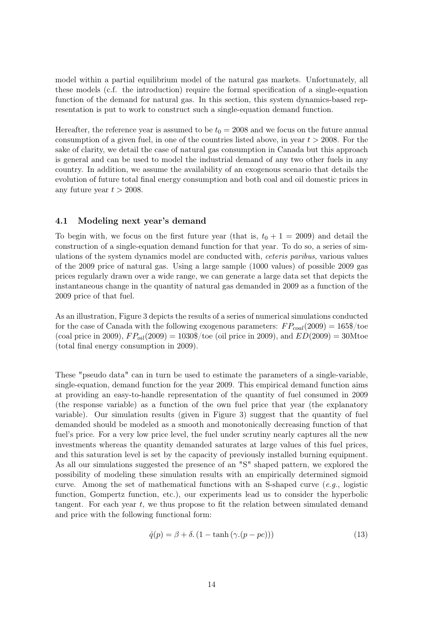model within a partial equilibrium model of the natural gas markets. Unfortunately, all these models (c.f. the introduction) require the formal specification of a single-equation function of the demand for natural gas. In this section, this system dynamics-based representation is put to work to construct such a single-equation demand function.

Hereafter, the reference year is assumed to be  $t_0 = 2008$  and we focus on the future annual consumption of a given fuel, in one of the countries listed above, in year  $t > 2008$ . For the sake of clarity, we detail the case of natural gas consumption in Canada but this approach is general and can be used to model the industrial demand of any two other fuels in any country. In addition, we assume the availability of an exogenous scenario that details the evolution of future total final energy consumption and both coal and oil domestic prices in any future year  $t > 2008$ .

#### 4.1 Modeling next year's demand

To begin with, we focus on the first future year (that is,  $t_0 + 1 = 2009$ ) and detail the construction of a single-equation demand function for that year. To do so, a series of simulations of the system dynamics model are conducted with, ceteris paribus, various values of the 2009 price of natural gas. Using a large sample (1000 values) of possible 2009 gas prices regularly drawn over a wide range, we can generate a large data set that depicts the instantaneous change in the quantity of natural gas demanded in 2009 as a function of the 2009 price of that fuel.

As an illustration, Figure 3 depicts the results of a series of numerical simulations conducted for the case of Canada with the following exogenous parameters:  $FP_{coal}(2009) = 165\$/\text{to}$ (coal price in 2009),  $FP_{oil}(2009) = 1030\%$ /toe (oil price in 2009), and  $ED(2009) = 30$ Mtoe (total final energy consumption in 2009).

These "pseudo data" can in turn be used to estimate the parameters of a single-variable, single-equation, demand function for the year 2009. This empirical demand function aims at providing an easy-to-handle representation of the quantity of fuel consumed in 2009 (the response variable) as a function of the own fuel price that year (the explanatory variable). Our simulation results (given in Figure 3) suggest that the quantity of fuel demanded should be modeled as a smooth and monotonically decreasing function of that fuel's price. For a very low price level, the fuel under scrutiny nearly captures all the new investments whereas the quantity demanded saturates at large values of this fuel prices, and this saturation level is set by the capacity of previously installed burning equipment. As all our simulations suggested the presence of an "S" shaped pattern, we explored the possibility of modeling these simulation results with an empirically determined sigmoid curve. Among the set of mathematical functions with an S-shaped curve  $(e,q)$ , logistic function, Gompertz function, etc.), our experiments lead us to consider the hyperbolic tangent. For each year  $t$ , we thus propose to fit the relation between simulated demand and price with the following functional form:

$$
\hat{q}(p) = \beta + \delta. \left(1 - \tanh\left(\gamma.(p - pc)\right)\right) \tag{13}
$$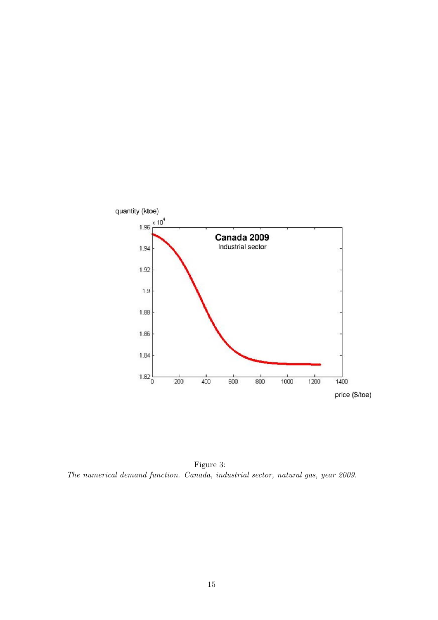

Figure 3: The numerical demand function. Canada, industrial sector, natural gas, year 2009.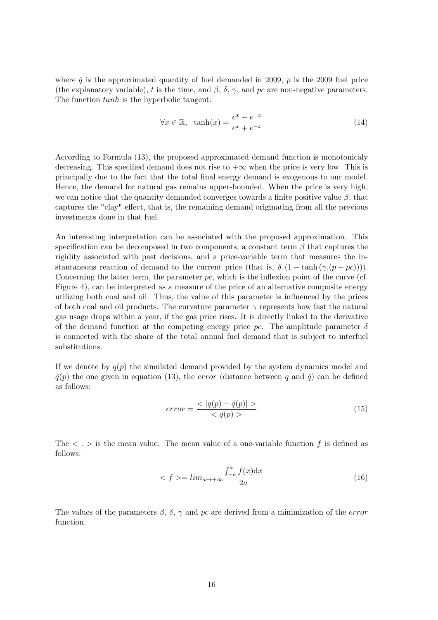where  $\hat{q}$  is the approximated quantity of fuel demanded in 2009, p is the 2009 fuel price (the explanatory variable), t is the time, and  $\beta$ ,  $\delta$ ,  $\gamma$ , and pc are non-negative parameters. The function  $tanh$  is the hyperbolic tangent:

$$
\forall x \in \mathbb{R}, \ \ \tanh(x) = \frac{e^x - e^{-x}}{e^x + e^{-x}} \tag{14}
$$

According to Formula (13), the proposed approximated demand function is monotonicaly decreasing. This specified demand does not rise to  $+\infty$  when the price is very low. This is principally due to the fact that the total final energy demand is exogenous to our model. Hence, the demand for natural gas remains upper-bounded. When the price is very high, we can notice that the quantity demanded converges towards a finite positive value  $\beta$ , that captures the "clay" effect, that is, the remaining demand originating from all the previous investments done in that fuel.

An interesting interpretation can be associated with the proposed approximation. This specification can be decomposed in two components, a constant term  $\beta$  that captures the rigidity associated with past decisions, and a price-variable term that measures the instantaneous reaction of demand to the current price (that is,  $\delta$ . (1 – tanh ( $\gamma$ . (p – pc)))). Concerning the latter term, the parameter  $pc$ , which is the inflexion point of the curve (cf. Figure 4), can be interpreted as a measure of the price of an alternative composite energy utilizing both coal and oil. Thus, the value of this parameter is influenced by the prices of both coal and oil products. The curvature parameter  $\gamma$  represents how fast the natural gas usage drops within a year, if the gas price rises. It is directly linked to the derivative of the demand function at the competing energy price pc. The amplitude parameter  $\delta$ is connected with the share of the total annual fuel demand that is subject to interfuel substitutions.

If we denote by  $q(p)$  the simulated demand provided by the system dynamics model and  $\hat{q}(p)$  the one given in equation (13), the error (distance between q and  $\hat{q}$ ) can be defined as follows:

$$
error = \frac{\langle |q(p) - \hat{q}(p)| \rangle}{\langle q(p) \rangle} \tag{15}
$$

The  $\langle \cdot \rangle$  is the mean value. The mean value of a one-variable function f is defined as follows:

$$
\langle f \rangle = \lim_{a \to +\infty} \frac{\int_{-a}^{a} f(x) \, \mathrm{d}x}{2a} \tag{16}
$$

The values of the parameters  $\beta$ ,  $\delta$ ,  $\gamma$  and pc are derived from a minimization of the *error* function.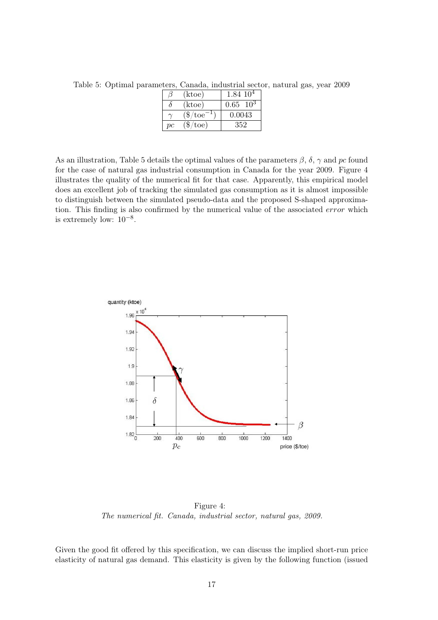Table 5: Optimal parameters, Canada, industrial sector, natural gas, year 2009

|               | (ktoe)          | $1.84~10^4$       |
|---------------|-----------------|-------------------|
| $\theta$      | (ktoe)          | $0.65 \quad 10^3$ |
|               | $(\$/toe^{-1})$ | 0.0043            |
| $\mathop{pc}$ | $(\$/toe)$      | 352               |

As an illustration, Table 5 details the optimal values of the parameters  $\beta$ ,  $\delta$ ,  $\gamma$  and pc found for the case of natural gas industrial consumption in Canada for the year 2009. Figure 4 illustrates the quality of the numerical fit for that case. Apparently, this empirical model does an excellent job of tracking the simulated gas consumption as it is almost impossible to distinguish between the simulated pseudo-data and the proposed S-shaped approximation. This finding is also confirmed by the numerical value of the associated error which is extremely low:  $10^{-8}$ .



Figure 4: The numerical fit. Canada, industrial sector, natural gas, 2009.

Given the good fit offered by this specification, we can discuss the implied short-run price elasticity of natural gas demand. This elasticity is given by the following function (issued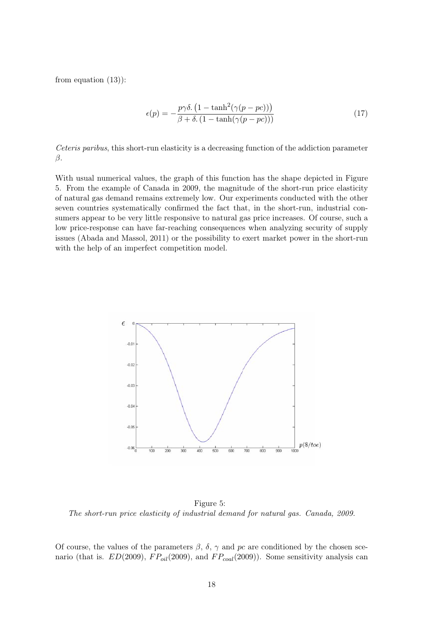from equation (13)):

$$
\epsilon(p) = -\frac{p\gamma\delta \cdot (1 - \tanh^2(\gamma(p - pc)))}{\beta + \delta \cdot (1 - \tanh(\gamma(p - pc)))}
$$
\n(17)

Ceteris paribus, this short-run elasticity is a decreasing function of the addiction parameter β.

With usual numerical values, the graph of this function has the shape depicted in Figure 5. From the example of Canada in 2009, the magnitude of the short-run price elasticity of natural gas demand remains extremely low. Our experiments conducted with the other seven countries systematically confirmed the fact that, in the short-run, industrial consumers appear to be very little responsive to natural gas price increases. Of course, such a low price-response can have far-reaching consequences when analyzing security of supply issues (Abada and Massol, 2011) or the possibility to exert market power in the short-run with the help of an imperfect competition model.



Figure 5: The short-run price elasticity of industrial demand for natural gas. Canada, 2009.

Of course, the values of the parameters  $\beta$ ,  $\delta$ ,  $\gamma$  and pc are conditioned by the chosen scenario (that is.  $ED(2009)$ ,  $FP_{oil}(2009)$ , and  $FP_{coal}(2009)$ ). Some sensitivity analysis can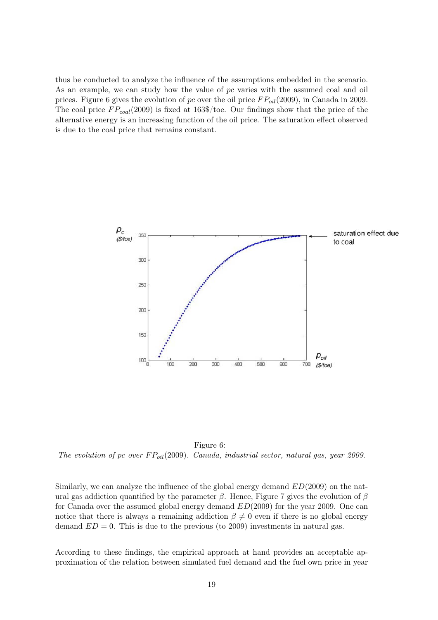thus be conducted to analyze the influence of the assumptions embedded in the scenario. As an example, we can study how the value of pc varies with the assumed coal and oil prices. Figure 6 gives the evolution of pc over the oil price  $FP_{oil}(2009)$ , in Canada in 2009. The coal price  $FP_{coal}(2009)$  is fixed at 163\$/toe. Our findings show that the price of the alternative energy is an increasing function of the oil price. The saturation effect observed is due to the coal price that remains constant.



Figure 6: The evolution of pc over  $FP_{oil}(2009)$ . Canada, industrial sector, natural gas, year 2009.

Similarly, we can analyze the influence of the global energy demand  $ED(2009)$  on the natural gas addiction quantified by the parameter  $\beta$ . Hence, Figure 7 gives the evolution of  $\beta$ for Canada over the assumed global energy demand  $ED(2009)$  for the year 2009. One can notice that there is always a remaining addiction  $\beta \neq 0$  even if there is no global energy demand  $ED = 0$ . This is due to the previous (to 2009) investments in natural gas.

According to these findings, the empirical approach at hand provides an acceptable approximation of the relation between simulated fuel demand and the fuel own price in year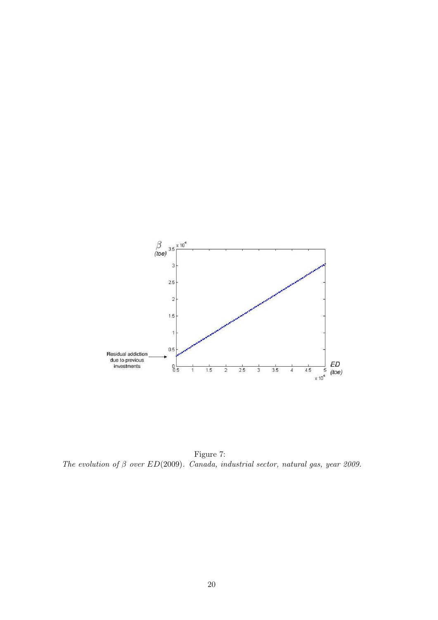

Figure 7: The evolution of  $\beta$  over  $ED(2009)$ . Canada, industrial sector, natural gas, year 2009.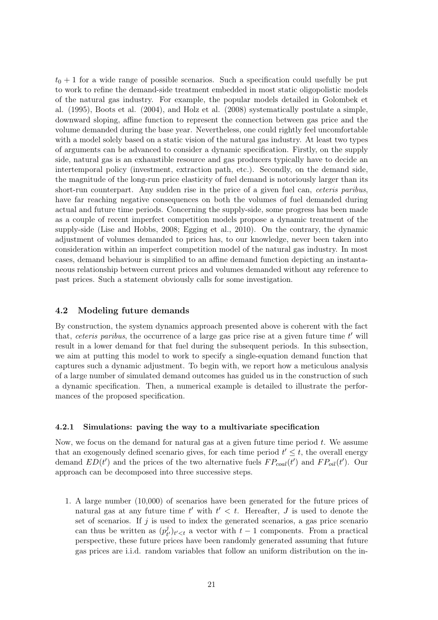$t_0 + 1$  for a wide range of possible scenarios. Such a specification could usefully be put to work to refine the demand-side treatment embedded in most static oligopolistic models of the natural gas industry. For example, the popular models detailed in Golombek et al. (1995), Boots et al. (2004), and Holz et al. (2008) systematically postulate a simple, downward sloping, affine function to represent the connection between gas price and the volume demanded during the base year. Nevertheless, one could rightly feel uncomfortable with a model solely based on a static vision of the natural gas industry. At least two types of arguments can be advanced to consider a dynamic specification. Firstly, on the supply side, natural gas is an exhaustible resource and gas producers typically have to decide an intertemporal policy (investment, extraction path, etc.). Secondly, on the demand side, the magnitude of the long-run price elasticity of fuel demand is notoriously larger than its short-run counterpart. Any sudden rise in the price of a given fuel can, *ceteris paribus*, have far reaching negative consequences on both the volumes of fuel demanded during actual and future time periods. Concerning the supply-side, some progress has been made as a couple of recent imperfect competition models propose a dynamic treatment of the supply-side (Lise and Hobbs, 2008; Egging et al., 2010). On the contrary, the dynamic adjustment of volumes demanded to prices has, to our knowledge, never been taken into consideration within an imperfect competition model of the natural gas industry. In most cases, demand behaviour is simplified to an affine demand function depicting an instantaneous relationship between current prices and volumes demanded without any reference to past prices. Such a statement obviously calls for some investigation.

#### 4.2 Modeling future demands

By construction, the system dynamics approach presented above is coherent with the fact that, ceteris paribus, the occurrence of a large gas price rise at a given future time  $t'$  will result in a lower demand for that fuel during the subsequent periods. In this subsection, we aim at putting this model to work to specify a single-equation demand function that captures such a dynamic adjustment. To begin with, we report how a meticulous analysis of a large number of simulated demand outcomes has guided us in the construction of such a dynamic specification. Then, a numerical example is detailed to illustrate the performances of the proposed specification.

#### 4.2.1 Simulations: paving the way to a multivariate specification

Now, we focus on the demand for natural gas at a given future time period  $t$ . We assume that an exogenously defined scenario gives, for each time period  $t' \leq t$ , the overall energy demand  $ED(t')$  and the prices of the two alternative fuels  $FP_{coal}(t')$  and  $FP_{oil}(t')$ . Our approach can be decomposed into three successive steps.

1. A large number (10,000) of scenarios have been generated for the future prices of natural gas at any future time  $t'$  with  $t' < t$ . Hereafter, J is used to denote the set of scenarios. If  $j$  is used to index the generated scenarios, a gas price scenario can thus be written as  $(p_t^j)$  $t<sub>t</sub>/t<sub>t</sub>$  a vector with  $t-1$  components. From a practical perspective, these future prices have been randomly generated assuming that future gas prices are i.i.d. random variables that follow an uniform distribution on the in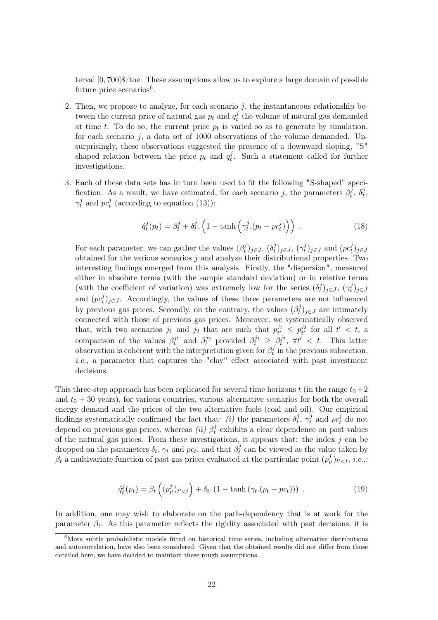terval [0, 700]\$/toe. These assumptions allow us to explore a large domain of possible future price scenarios<sup>6</sup>.

- 2. Then, we propose to analyze, for each scenario  $j$ , the instantaneous relationship between the current price of natural gas  $p_t$  and  $q_t^j$  $t<sub>t</sub><sup>j</sup>$  the volume of natural gas demanded at time t. To do so, the current price  $p_t$  is varied so as to generate by simulation, for each scenario  $j$ , a data set of 1000 observations of the volume demanded. Unsurprisingly, these observations suggested the presence of a downward sloping, "S" shaped relation between the price  $p_t$  and  $q_t^j$  $t_t^j$ . Such a statement called for further investigations.
- 3. Each of these data sets has in turn been used to fit the following "S-shaped" specification. As a result, we have estimated, for each scenario j, the parameters  $\beta_t^j$  $\delta_t^{\bar j},\,\delta_t^{\bar j}$  $\frac{j}{t}$  $\gamma^j_t$  $t$ <sub>t</sub> and  $pc_t^j$  $t_t^j$  (according to equation (13)):

$$
\hat{q}_t^j(p_t) = \beta_t^j + \delta_t^j \cdot \left(1 - \tanh\left(\gamma_t^j \cdot (p_t - p c_t^j)\right)\right) \tag{18}
$$

For each parameter, we can gather the values  $(\beta_t^j)$  $(t^{j}_{t})_{j\in J}, (\delta^{j}_{t}% ,\delta^{j}_{t})_{j\in J}$  $(\gamma_t^j)_{j\in J},\,(\gamma_t^j)$  $(t_i^j)_{j\in J}$  and  $(pc_t^j)$  $_{t}^{j})_{j\in\mathbb{J}}$ obtained for the various scenarios  $j$  and analyze their distributional properties. Two interesting findings emerged from this analysis. Firstly, the "dispersion", measured either in absolute terms (with the sample standard deviation) or in relative terms (with the coefficient of variation) was extremely low for the series  $(\delta_t^j)$  $(\gamma_t^j)_{j\in J},\; (\gamma_t^j)$  $_{t}^{j})_{j\in\mathbb{J}}$ and  $(p c_t^j)$  $_{t}^{j}$ )j∈J. Accordingly, the values of these three parameters are not influenced by previous gas prices. Secondly, on the contrary, the values  $(\beta_t^j)$  $(t<sup>j</sup>)<sub>j\in J</sub>$  are intimately connected with those of previous gas prices. Moreover, we systematically observed that, with two scenarios  $j_1$  and  $j_2$  that are such that  $p_{t'}^{j_1}$  $\frac{1}{t'} \leq p_{t'}^{j_2}$  $t^{j_2}_{t'}$  for all  $t' < t$ , a comparison of the values  $\beta_t^{j_1}$  and  $\beta_t^{j_2}$  provided  $\beta_t^{j_1} \geq \beta_t^{j_2}$ ,  $\forall t' < t$ . This latter observation is coherent with the interpretation given for  $\beta_t^j$  $t_t^j$  in the previous subsection, i.e., a parameter that captures the "clay" effect associated with past investment decisions.

This three-step approach has been replicated for several time horizons t (in the range  $t_0+2$ and  $t_0 + 30$  years), for various countries, various alternative scenarios for both the overall energy demand and the prices of the two alternative fuels (coal and oil). Our empirical findings systematically confirmed the fact that: (i) the parameters  $\delta_t^j$  $\hat{y}_t^j,\ \gamma_t^j$  $t_t^j$  and  $pc_t^j$  do not depend on previous gas prices, whereas *(ii)*  $\beta_t^j$  $t_t^j$  exhibits a clear dependence on past values of the natural gas prices. From these investigations, it appears that: the index  $j$  can be dropped on the parameters  $\delta_t$ ,  $\gamma_t$  and  $pc_t$ , and that  $\beta_t^j$  $t_t^j$  can be viewed as the value taken by  $\beta_t$  a multivariate function of past gas prices evaluated at the particular point  $(p_t^j)$  $(t'_{t'})_{t' < t}, i.e.,$ 

$$
\hat{q}_t^j(p_t) = \beta_t \left( (p_{t'}^j)_{t' < t} \right) + \delta_t \left( 1 - \tanh \left( \gamma_t \left( p_t - p c_t \right) \right) \right) \tag{19}
$$

In addition, one may wish to elaborate on the path-dependency that is at work for the parameter  $\beta_t$ . As this parameter reflects the rigidity associated with past decisions, it is

<sup>&</sup>lt;sup>6</sup>More subtle probabilistic models fitted on historical time series, including alternative distributions and autocorrelation, have also been considered. Given that the obtained results did not differ from those detailed here, we have decided to maintain these rough assumptions.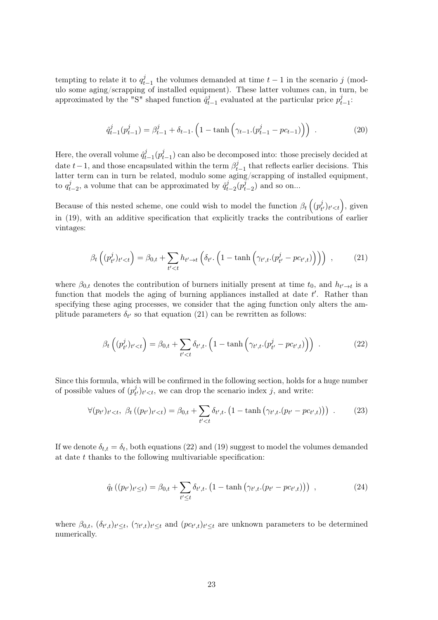tempting to relate it to  $q_t^j$  $t_{t-1}$  the volumes demanded at time  $t-1$  in the scenario j (modulo some aging/scrapping of installed equipment). These latter volumes can, in turn, be approximated by the "S" shaped function  $\hat{q}_t^j$  $t_{t-1}$  evaluated at the particular price  $p_t^j$  $_{t-1}^j$ :

$$
\hat{q}_{t-1}^j(p_{t-1}^j) = \beta_{t-1}^j + \delta_{t-1} \cdot \left(1 - \tanh\left(\gamma_{t-1} \cdot (p_{t-1}^j - pc_{t-1})\right)\right) \tag{20}
$$

Here, the overall volume  $\hat{q}_t^j$  $t_{t-1}^j(p_t^j)$  $t_{t-1}$ ) can also be decomposed into: those precisely decided at date  $t-1$ , and those encapsulated within the term  $\beta_t^j$  $t_{t-1}$  that reflects earlier decisions. This latter term can in turn be related, modulo some aging/scrapping of installed equipment, to  $q_t^j$  $t_{t-2}$ , a volume that can be approximated by  $\hat{q}_t^j$  $\bar{t}_{t-2}^j(p_t^{\bar{j}})$  $(t<sub>t-2</sub>)$  and so on...

Because of this nested scheme, one could wish to model the function  $\beta_t\left((p_t^j\right))$  $(t'_t)_{t'_t}$ , given in (19), with an additive specification that explicitly tracks the contributions of earlier vintages:

$$
\beta_t\left((p_{t'}^j)_{t'
$$

where  $\beta_{0,t}$  denotes the contribution of burners initially present at time  $t_0$ , and  $h_{t'\to t}$  is a function that models the aging of burning appliances installed at date  $t'$ . Rather than specifying these aging processes, we consider that the aging function only alters the amplitude parameters  $\delta_{t'}$  so that equation (21) can be rewritten as follows:

$$
\beta_t\left((p_{t'}^j)_{t'
$$

Since this formula, which will be confirmed in the following section, holds for a huge number of possible values of  $(p_t^j)$  $(t<sub>t</sub>)<sub>t'</sub>$ , we can drop the scenario index j, and write:

$$
\forall (p_{t'})_{t' < t}, \ \beta_t ((p_{t'})_{t' < t}) = \beta_{0,t} + \sum_{t' < t} \delta_{t',t}. (1 - \tanh (\gamma_{t',t}.(p_{t'} - pc_{t',t}))) \ . \tag{23}
$$

If we denote  $\delta_{t,t} = \delta_t$ , both equations (22) and (19) suggest to model the volumes demanded at date  $t$  thanks to the following multivariable specification:

$$
\hat{q}_t((p_{t'})_{t' \le t}) = \beta_{0,t} + \sum_{t' \le t} \delta_{t',t}. (1 - \tanh(\gamma_{t',t}.(p_{t'} - pc_{t',t}))) , \qquad (24)
$$

where  $\beta_{0,t}$ ,  $(\delta_{t',t})_{t'\leq t}$ ,  $(\gamma_{t',t})_{t'\leq t}$  and  $(pc_{t',t})_{t'\leq t}$  are unknown parameters to be determined numerically.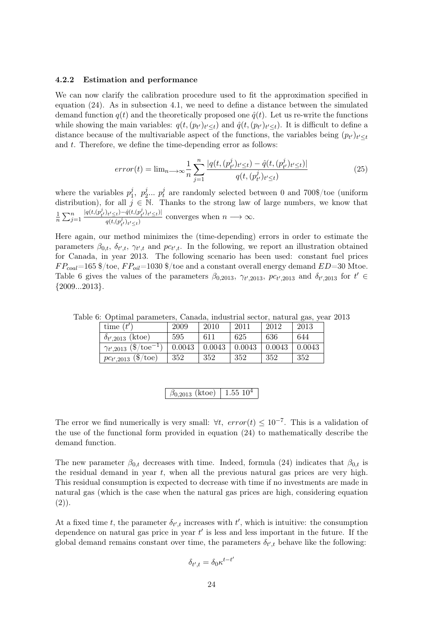#### 4.2.2 Estimation and performance

We can now clarify the calibration procedure used to fit the approximation specified in equation (24). As in subsection 4.1, we need to define a distance between the simulated demand function  $q(t)$  and the theoretically proposed one  $\hat{q}(t)$ . Let us re-write the functions while showing the main variables:  $q(t, (p_{t'})_{t' \leq t})$  and  $\hat{q}(t, (p_{t'})_{t' \leq t})$ . It is difficult to define a distance because of the multivariable aspect of the functions, the variables being  $(p_{t'})_{t' \leq t}$ and t. Therefore, we define the time-depending error as follows:

$$
error(t) = \lim_{n \to \infty} \frac{1}{n} \sum_{j=1}^{n} \frac{|q(t, (p_{t'}^j)_{t' \le t}) - \hat{q}(t, (p_{t'}^j)_{t' \le t})|}{q(t, (p_{t'}^j)_{t' \le t})}
$$
(25)

where the variables  $p_1^j$  $j_1, p_2^j$  $i_2^j... p_t^j$  $t<sub>t</sub><sup>j</sup>$  are randomly selected between 0 and 700\$/toe (uniform distribution), for all  $j \in \mathbb{N}$ . Thanks to the strong law of large numbers, we know that 1  $\frac{1}{n}\sum_{j=1}^n$  $|q(t,(p_{t'}^j)_{t'\leq t}) - \hat{q}(t,(p_{t'}^j)_{t'\leq t})|$  $\frac{q(t, (p_t^j)_{t' \leq t}) - q(t, (p_t^j)_{t' \leq t})}{q(t, (p_t^j)_{t' \leq t})}$  converges when  $n \longrightarrow \infty$ .

Here again, our method minimizes the (time-depending) errors in order to estimate the parameters  $\beta_{0,t}$ ,  $\delta_{t',t}$ ,  $\gamma_{t',t}$  and  $pc_{t',t}$ . In the following, we report an illustration obtained for Canada, in year 2013. The following scenario has been used: constant fuel prices  $FP_{coal}=165$  \$/toe,  $FP_{oil}=1030$  \$/toe and a constant overall energy demand  $ED=30$  Mtoe. Table 6 gives the values of the parameters  $\beta_{0,2013}$ ,  $\gamma_{t',2013}$ ,  $pc_{t',2013}$  and  $\delta_{t',2013}$  for  $t' \in$  ${2009...2013}.$ 

| time $(t')$                                          | 2009   | 2010   | 2011   | 2012   | 2013   |
|------------------------------------------------------|--------|--------|--------|--------|--------|
| $\delta_{t',2013}$ (ktoe)                            | 595    | 611    | 625    | 636    | 644    |
| $\gamma_{t',2013}~(\$/\mathrm{toe}^{-\overline{1}})$ | 0.0043 | 0.0043 | 0.0043 | 0.0043 | 0.0043 |
| $pc_{t',2013}$ (\$/toe)                              | 352    | 352    | 352    | 352    | 352    |

Table 6: Optimal parameters, Canada, industrial sector, natural gas, year 2013

| $\beta_{0.2013}$ (ktoe) |
|-------------------------|
|-------------------------|

The error we find numerically is very small:  $\forall t$ ,  $error(t) \leq 10^{-7}$ . This is a validation of the use of the functional form provided in equation (24) to mathematically describe the demand function.

The new parameter  $\beta_{0,t}$  decreases with time. Indeed, formula (24) indicates that  $\beta_{0,t}$  is the residual demand in year  $t$ , when all the previous natural gas prices are very high. This residual consumption is expected to decrease with time if no investments are made in natural gas (which is the case when the natural gas prices are high, considering equation  $(2)$ ).

At a fixed time t, the parameter  $\delta_{t',t}$  increases with  $t'$ , which is intuitive: the consumption dependence on natural gas price in year  $t'$  is less and less important in the future. If the global demand remains constant over time, the parameters  $\delta_{t',t}$  behave like the following:

$$
\delta_{t',t} = \delta_0 \kappa^{t-t'}
$$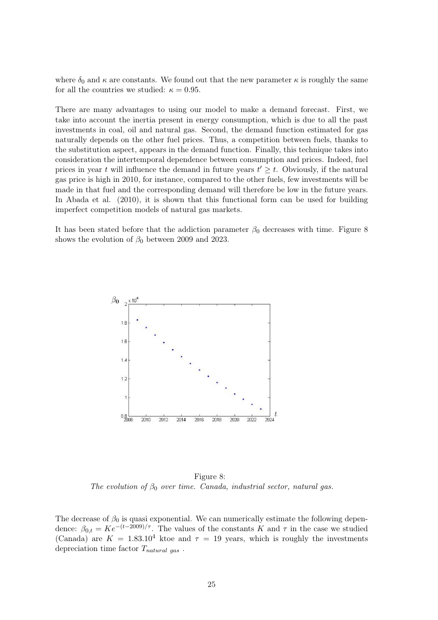where  $\delta_0$  and  $\kappa$  are constants. We found out that the new parameter  $\kappa$  is roughly the same for all the countries we studied:  $\kappa = 0.95$ .

There are many advantages to using our model to make a demand forecast. First, we take into account the inertia present in energy consumption, which is due to all the past investments in coal, oil and natural gas. Second, the demand function estimated for gas naturally depends on the other fuel prices. Thus, a competition between fuels, thanks to the substitution aspect, appears in the demand function. Finally, this technique takes into consideration the intertemporal dependence between consumption and prices. Indeed, fuel prices in year t will influence the demand in future years  $t' \geq t$ . Obviously, if the natural gas price is high in 2010, for instance, compared to the other fuels, few investments will be made in that fuel and the corresponding demand will therefore be low in the future years. In Abada et al. (2010), it is shown that this functional form can be used for building imperfect competition models of natural gas markets.

It has been stated before that the addiction parameter  $\beta_0$  decreases with time. Figure 8 shows the evolution of  $\beta_0$  between 2009 and 2023.



Figure 8: The evolution of  $\beta_0$  over time. Canada, industrial sector, natural gas.

The decrease of  $\beta_0$  is quasi exponential. We can numerically estimate the following dependence:  $\beta_{0,t} = Ke^{-(t-2009)/\tau}$ . The values of the constants K and  $\tau$  in the case we studied (Canada) are  $K = 1.83.10^4$  ktoe and  $\tau = 19$  years, which is roughly the investments depreciation time factor  $T_{natural\ gas}$ .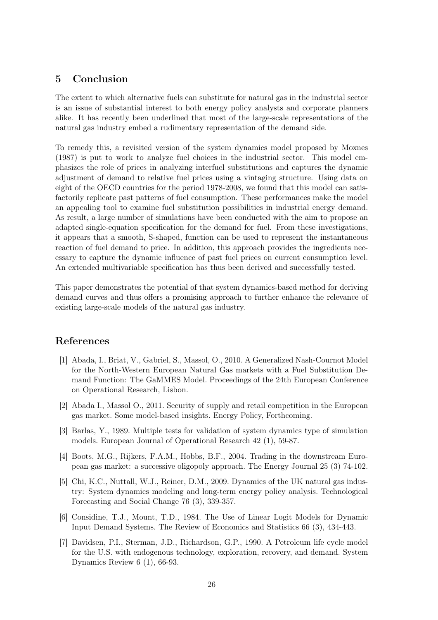# 5 Conclusion

The extent to which alternative fuels can substitute for natural gas in the industrial sector is an issue of substantial interest to both energy policy analysts and corporate planners alike. It has recently been underlined that most of the large-scale representations of the natural gas industry embed a rudimentary representation of the demand side.

To remedy this, a revisited version of the system dynamics model proposed by Moxnes (1987) is put to work to analyze fuel choices in the industrial sector. This model emphasizes the role of prices in analyzing interfuel substitutions and captures the dynamic adjustment of demand to relative fuel prices using a vintaging structure. Using data on eight of the OECD countries for the period 1978-2008, we found that this model can satisfactorily replicate past patterns of fuel consumption. These performances make the model an appealing tool to examine fuel substitution possibilities in industrial energy demand. As result, a large number of simulations have been conducted with the aim to propose an adapted single-equation specification for the demand for fuel. From these investigations, it appears that a smooth, S-shaped, function can be used to represent the instantaneous reaction of fuel demand to price. In addition, this approach provides the ingredients necessary to capture the dynamic influence of past fuel prices on current consumption level. An extended multivariable specification has thus been derived and successfully tested.

This paper demonstrates the potential of that system dynamics-based method for deriving demand curves and thus offers a promising approach to further enhance the relevance of existing large-scale models of the natural gas industry.

# References

- [1] Abada, I., Briat, V., Gabriel, S., Massol, O., 2010. A Generalized Nash-Cournot Model for the North-Western European Natural Gas markets with a Fuel Substitution Demand Function: The GaMMES Model. Proceedings of the 24th European Conference on Operational Research, Lisbon.
- [2] Abada I., Massol O., 2011. Security of supply and retail competition in the European gas market. Some model-based insights. Energy Policy, Forthcoming.
- [3] Barlas, Y., 1989. Multiple tests for validation of system dynamics type of simulation models. European Journal of Operational Research 42 (1), 59-87.
- [4] Boots, M.G., Rijkers, F.A.M., Hobbs, B.F., 2004. Trading in the downstream European gas market: a successive oligopoly approach. The Energy Journal 25 (3) 74-102.
- [5] Chi, K.C., Nuttall, W.J., Reiner, D.M., 2009. Dynamics of the UK natural gas industry: System dynamics modeling and long-term energy policy analysis. Technological Forecasting and Social Change 76 (3), 339-357.
- [6] Considine, T.J., Mount, T.D., 1984. The Use of Linear Logit Models for Dynamic Input Demand Systems. The Review of Economics and Statistics 66 (3), 434-443.
- [7] Davidsen, P.I., Sterman, J.D., Richardson, G.P., 1990. A Petroleum life cycle model for the U.S. with endogenous technology, exploration, recovery, and demand. System Dynamics Review 6 (1), 66-93.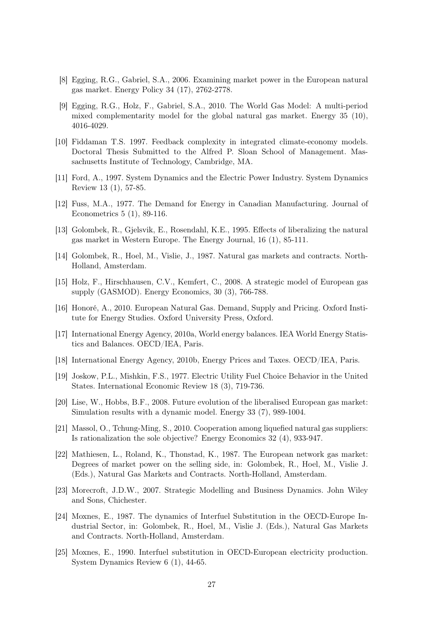- [8] Egging, R.G., Gabriel, S.A., 2006. Examining market power in the European natural gas market. Energy Policy 34 (17), 2762-2778.
- [9] Egging, R.G., Holz, F., Gabriel, S.A., 2010. The World Gas Model: A multi-period mixed complementarity model for the global natural gas market. Energy 35 (10), 4016-4029.
- [10] Fiddaman T.S. 1997. Feedback complexity in integrated climate-economy models. Doctoral Thesis Submitted to the Alfred P. Sloan School of Management. Massachusetts Institute of Technology, Cambridge, MA.
- [11] Ford, A., 1997. System Dynamics and the Electric Power Industry. System Dynamics Review 13 (1), 57-85.
- [12] Fuss, M.A., 1977. The Demand for Energy in Canadian Manufacturing. Journal of Econometrics 5 (1), 89-116.
- [13] Golombek, R., Gjelsvik, E., Rosendahl, K.E., 1995. Effects of liberalizing the natural gas market in Western Europe. The Energy Journal, 16 (1), 85-111.
- [14] Golombek, R., Hoel, M., Vislie, J., 1987. Natural gas markets and contracts. North-Holland, Amsterdam.
- [15] Holz, F., Hirschhausen, C.V., Kemfert, C., 2008. A strategic model of European gas supply (GASMOD). Energy Economics, 30 (3), 766-788.
- [16] Honoré, A., 2010. European Natural Gas. Demand, Supply and Pricing. Oxford Institute for Energy Studies. Oxford University Press, Oxford.
- [17] International Energy Agency, 2010a, World energy balances. IEA World Energy Statistics and Balances. OECD/IEA, Paris.
- [18] International Energy Agency, 2010b, Energy Prices and Taxes. OECD/IEA, Paris.
- [19] Joskow, P.L., Mishkin, F.S., 1977. Electric Utility Fuel Choice Behavior in the United States. International Economic Review 18 (3), 719-736.
- [20] Lise, W., Hobbs, B.F., 2008. Future evolution of the liberalised European gas market: Simulation results with a dynamic model. Energy 33 (7), 989-1004.
- [21] Massol, O., Tchung-Ming, S., 2010. Cooperation among liquefied natural gas suppliers: Is rationalization the sole objective? Energy Economics 32 (4), 933-947.
- [22] Mathiesen, L., Roland, K., Thonstad, K., 1987. The European network gas market: Degrees of market power on the selling side, in: Golombek, R., Hoel, M., Vislie J. (Eds.), Natural Gas Markets and Contracts. North-Holland, Amsterdam.
- [23] Morecroft, J.D.W., 2007. Strategic Modelling and Business Dynamics. John Wiley and Sons, Chichester.
- [24] Moxnes, E., 1987. The dynamics of Interfuel Substitution in the OECD-Europe Industrial Sector, in: Golombek, R., Hoel, M., Vislie J. (Eds.), Natural Gas Markets and Contracts. North-Holland, Amsterdam.
- [25] Moxnes, E., 1990. Interfuel substitution in OECD-European electricity production. System Dynamics Review 6 (1), 44-65.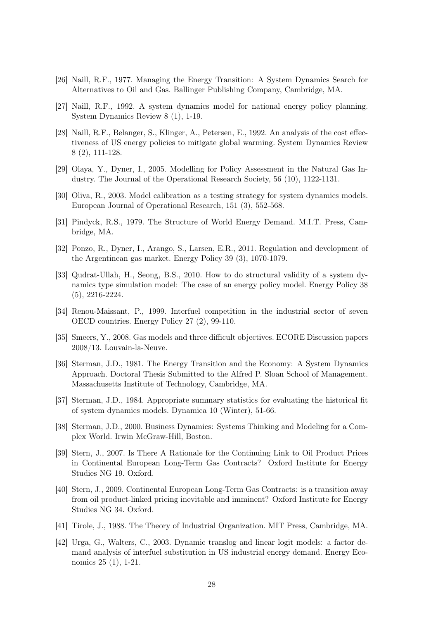- [26] Naill, R.F., 1977. Managing the Energy Transition: A System Dynamics Search for Alternatives to Oil and Gas. Ballinger Publishing Company, Cambridge, MA.
- [27] Naill, R.F., 1992. A system dynamics model for national energy policy planning. System Dynamics Review 8 (1), 1-19.
- [28] Naill, R.F., Belanger, S., Klinger, A., Petersen, E., 1992. An analysis of the cost effectiveness of US energy policies to mitigate global warming. System Dynamics Review 8 (2), 111-128.
- [29] Olaya, Y., Dyner, I., 2005. Modelling for Policy Assessment in the Natural Gas Industry. The Journal of the Operational Research Society, 56 (10), 1122-1131.
- [30] Oliva, R., 2003. Model calibration as a testing strategy for system dynamics models. European Journal of Operational Research, 151 (3), 552-568.
- [31] Pindyck, R.S., 1979. The Structure of World Energy Demand. M.I.T. Press, Cambridge, MA.
- [32] Ponzo, R., Dyner, I., Arango, S., Larsen, E.R., 2011. Regulation and development of the Argentinean gas market. Energy Policy 39 (3), 1070-1079.
- [33] Qudrat-Ullah, H., Seong, B.S., 2010. How to do structural validity of a system dynamics type simulation model: The case of an energy policy model. Energy Policy 38 (5), 2216-2224.
- [34] Renou-Maissant, P., 1999. Interfuel competition in the industrial sector of seven OECD countries. Energy Policy 27 (2), 99-110.
- [35] Smeers, Y., 2008. Gas models and three difficult objectives. ECORE Discussion papers 2008/13. Louvain-la-Neuve.
- [36] Sterman, J.D., 1981. The Energy Transition and the Economy: A System Dynamics Approach. Doctoral Thesis Submitted to the Alfred P. Sloan School of Management. Massachusetts Institute of Technology, Cambridge, MA.
- [37] Sterman, J.D., 1984. Appropriate summary statistics for evaluating the historical fit of system dynamics models. Dynamica 10 (Winter), 51-66.
- [38] Sterman, J.D., 2000. Business Dynamics: Systems Thinking and Modeling for a Complex World. Irwin McGraw-Hill, Boston.
- [39] Stern, J., 2007. Is There A Rationale for the Continuing Link to Oil Product Prices in Continental European Long-Term Gas Contracts? Oxford Institute for Energy Studies NG 19. Oxford.
- [40] Stern, J., 2009. Continental European Long-Term Gas Contracts: is a transition away from oil product-linked pricing inevitable and imminent? Oxford Institute for Energy Studies NG 34. Oxford.
- [41] Tirole, J., 1988. The Theory of Industrial Organization. MIT Press, Cambridge, MA.
- [42] Urga, G., Walters, C., 2003. Dynamic translog and linear logit models: a factor demand analysis of interfuel substitution in US industrial energy demand. Energy Economics 25 (1), 1-21.